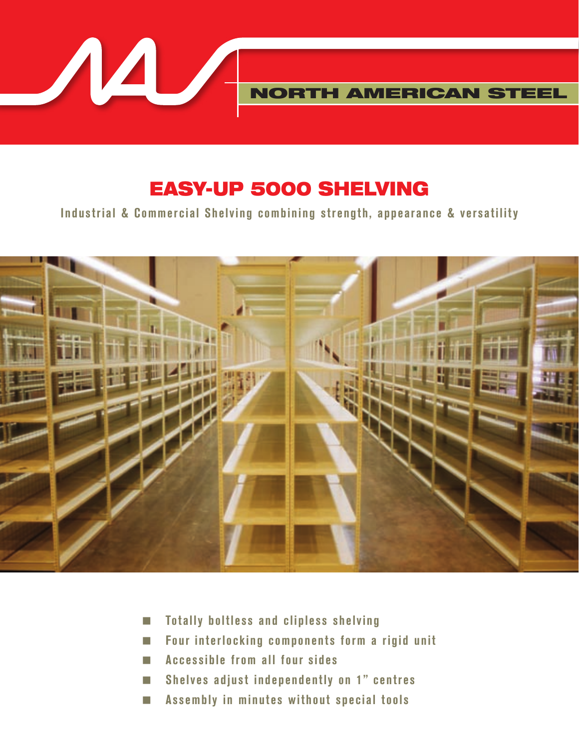

## EASY-UP 5000 SHELVING

**Industrial & Commercial Shelving combining strength, appearance & versatility**



- < **Totally boltless and clipless shelving**
- < **Four interlocking components form a rigid unit**
- < **Accessible from all four sides**
- < **Shelves adjust independently on 1" centres**
- < **Assembly in minutes without special tools**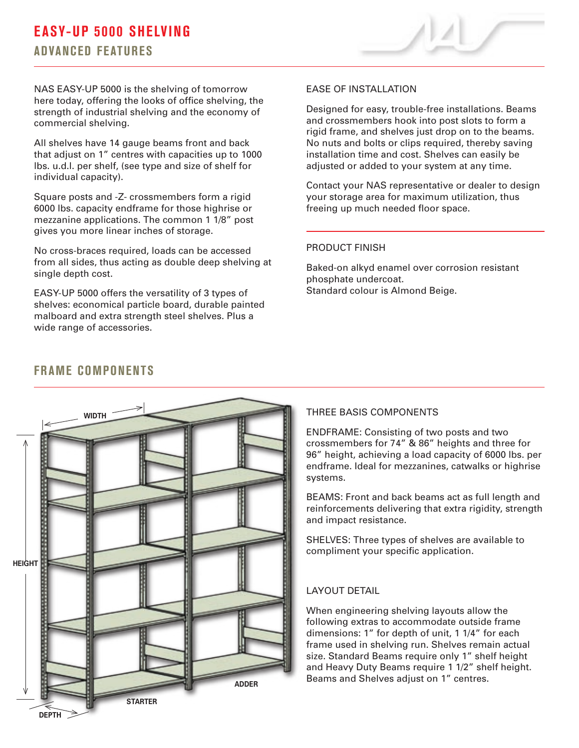## **EASY-UP 5000 SHELVING ADVANCED FEATURES**



NAS EASY-UP 5000 is the shelving of tomorrow here today, offering the looks of office shelving, the strength of industrial shelving and the economy of commercial shelving.

All shelves have 14 gauge beams front and back that adjust on 1" centres with capacities up to 1000 lbs. u.d.l. per shelf, (see type and size of shelf for individual capacity).

Square posts and -Z- crossmembers form a rigid 6000 lbs. capacity endframe for those highrise or mezzanine applications. The common 1 1/8" post gives you more linear inches of storage.

No cross-braces required, loads can be accessed from all sides, thus acting as double deep shelving at single depth cost.

EASY-UP 5000 offers the versatility of 3 types of shelves: economical particle board, durable painted malboard and extra strength steel shelves. Plus a wide range of accessories.

#### EASE OF INSTALLATION

Designed for easy, trouble-free installations. Beams and crossmembers hook into post slots to form a rigid frame, and shelves just drop on to the beams. No nuts and bolts or clips required, thereby saving installation time and cost. Shelves can easily be adjusted or added to your system at any time.

Contact your NAS representative or dealer to design your storage area for maximum utilization, thus freeing up much needed floor space.

#### PRODUCT FINISH

Baked-on alkyd enamel over corrosion resistant phosphate undercoat. Standard colour is Almond Beige.

# **WIDTH HEIGHT DEPTH STARTER ADDER**

## **FRAME COMPONENTS**

#### THREE BASIS COMPONENTS

ENDFRAME: Consisting of two posts and two crossmembers for 74" & 86" heights and three for 96" height, achieving a load capacity of 6000 lbs. per endframe. Ideal for mezzanines, catwalks or highrise systems.

BEAMS: Front and back beams act as full length and reinforcements delivering that extra rigidity, strength and impact resistance.

SHELVES: Three types of shelves are available to compliment your specific application.

#### LAYOUT DETAIL

When engineering shelving layouts allow the following extras to accommodate outside frame dimensions: 1" for depth of unit, 1 1/4" for each frame used in shelving run. Shelves remain actual size. Standard Beams require only 1" shelf height and Heavy Duty Beams require 1 1/2" shelf height. Beams and Shelves adjust on 1" centres.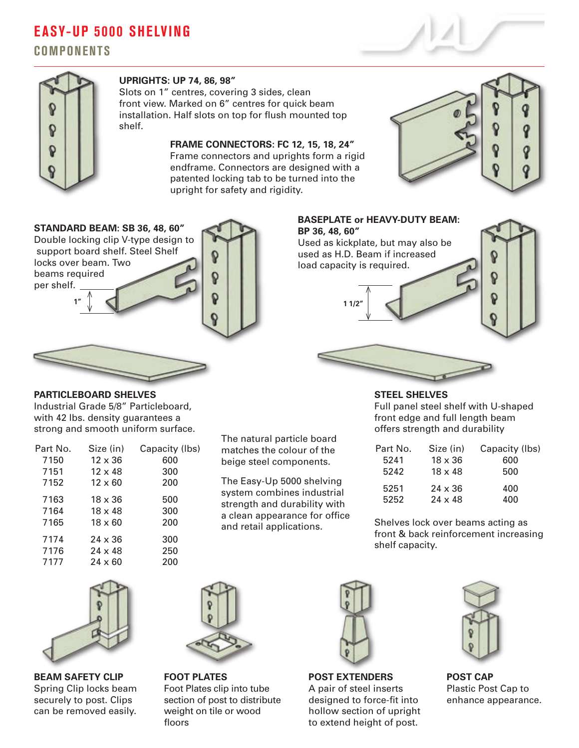## **EASY-UP 5000 SHELVING**

**COMPONENTS**



#### **UPRIGHTS: UP 74, 86, 98"**

Slots on 1" centres, covering 3 sides, clean front view. Marked on 6" centres for quick beam installation. Half slots on top for flush mounted top shelf.

> **FRAME CONNECTORS: FC 12, 15, 18, 24"** Frame connectors and uprights form a rigid endframe. Connectors are designed with a patented locking tab to be turned into the upright for safety and rigidity.







#### **PARTICLEBOARD SHELVES**

Industrial Grade 5/8" Particleboard, with 42 lbs. density guarantees a strong and smooth uniform surface.

| Part No. | Size (in)      | Capacity (Ibs) |
|----------|----------------|----------------|
| 7150     | $12 \times 36$ | 600            |
| 7151     | $12 \times 48$ | 300            |
| 7152     | $12 \times 60$ | 200            |
| 7163     | $18 \times 36$ | 500            |
| 7164     | $18 \times 48$ | 300            |
| 7165     | $18 \times 60$ | 200            |
| 7174     | $24 \times 36$ | 300            |
| 7176     | $24 \times 48$ | 250            |
| 7177     | $24 \times 60$ | 200            |
|          |                |                |

The natural particle board matches the colour of the beige steel components.

The Easy-Up 5000 shelving system combines industrial strength and durability with a clean appearance for office and retail applications.

**STEEL SHELVES** Full panel steel shelf with U-shaped front edge and full length beam offers strength and durability

| Part No. | Size (in)      | Capacity (Ibs) |
|----------|----------------|----------------|
| 5241     | $18 \times 36$ | 600            |
| 5242     | $18 \times 48$ | 500            |
| 5251     | $24 \times 36$ | 400            |
| 5252     | $24 \times 48$ | 400            |

Shelves lock over beams acting as front & back reinforcement increasing shelf capacity.



**BEAM SAFETY CLIP** Spring Clip locks beam securely to post. Clips can be removed easily.



**FOOT PLATES** Foot Plates clip into tube section of post to distribute weight on tile or wood floors



**POST EXTENDERS** A pair of steel inserts designed to force-fit into hollow section of upright to extend height of post.



**POST CAP** Plastic Post Cap to enhance appearance.